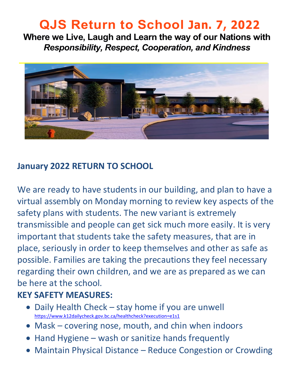# **QJS Return to School Jan. 7, 2022**

**Where we Live, Laugh and Learn the way of our Nations with**  *Responsibility, Respect, Cooperation, and Kindness* 



#### **January 2022 RETURN TO SCHOOL**

We are ready to have students in our building, and plan to have a virtual assembly on Monday morning to review key aspects of the safety plans with students. The new variant is extremely transmissible and people can get sick much more easily. It is very important that students take the safety measures, that are in place, seriously in order to keep themselves and other as safe as possible. Families are taking the precautions they feel necessary regarding their own children, and we are as prepared as we can be here at the school.

#### **KEY SAFETY MEASURES:**

- Daily Health Check stay home if you are unwell <https://www.k12dailycheck.gov.bc.ca/healthcheck?execution=e1s1>
- Mask covering nose, mouth, and chin when indoors
- Hand Hygiene wash or sanitize hands frequently
- Maintain Physical Distance Reduce Congestion or Crowding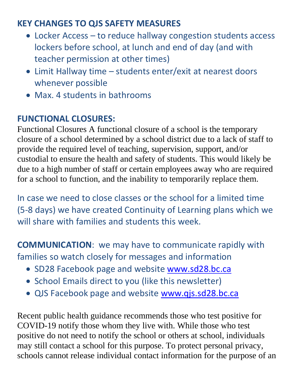#### **KEY CHANGES TO QJS SAFETY MEASURES**

- Locker Access to reduce hallway congestion students access lockers before school, at lunch and end of day (and with teacher permission at other times)
- Limit Hallway time students enter/exit at nearest doors whenever possible
- Max. 4 students in bathrooms

#### **FUNCTIONAL CLOSURES:**

Functional Closures A functional closure of a school is the temporary closure of a school determined by a school district due to a lack of staff to provide the required level of teaching, supervision, support, and/or custodial to ensure the health and safety of students. This would likely be due to a high number of staff or certain employees away who are required for a school to function, and the inability to temporarily replace them.

In case we need to close classes or the school for a limited time (5-8 days) we have created Continuity of Learning plans which we will share with families and students this week.

**COMMUNICATION**: we may have to communicate rapidly with families so watch closely for messages and information

- SD28 Facebook page and website www.sd28.bc.ca
- School Emails direct to you (like this newsletter)
- QJS Facebook page and website [www.qjs.sd28.bc.ca](http://www.qjs.sd28.bc.ca/)

Recent public health guidance recommends those who test positive for COVID-19 notify those whom they live with. While those who test positive do not need to notify the school or others at school, individuals may still contact a school for this purpose. To protect personal privacy, schools cannot release individual contact information for the purpose of an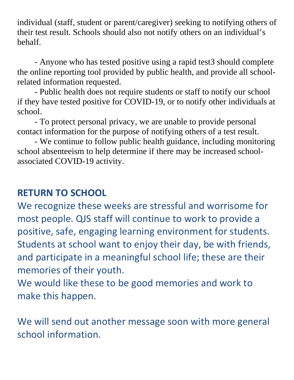individual (staff, student or parent/caregiver) seeking to notifying others of their test result. Schools should also not notify others on an individual's behalf.

- Anyone who has tested positive using a rapid test3 should complete the online reporting tool provided by public health, and provide all schoolrelated information requested.

- Public health does not require students or staff to notify our school if they have tested positive for COVID-19, or to notify other individuals at school.

- To protect personal privacy, we are unable to provide personal contact information for the purpose of notifying others of a test result.

- We continue to follow public health guidance, including monitoring school absenteeism to help determine if there may be increased schoolassociated COVID-19 activity.

### **RETURN TO SCHOOL**

We recognize these weeks are stressful and worrisome for most people. QJS staff will continue to work to provide a positive, safe, engaging learning environment for students. Students at school want to enjoy their day, be with friends, and participate in a meaningful school life; these are their memories of their youth.

We would like these to be good memories and work to make this happen.

We will send out another message soon with more general school information.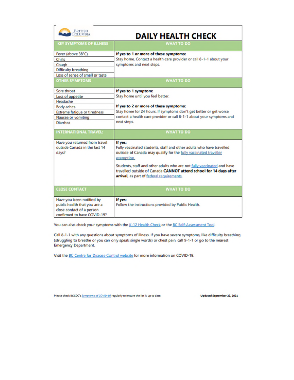| <b>BRITISH</b><br>COLUMBIA<br><b>DAILY HEALTH CHECK</b>                                                                                   |                                                                                                                                                                                                                                                                                                                                                                |
|-------------------------------------------------------------------------------------------------------------------------------------------|----------------------------------------------------------------------------------------------------------------------------------------------------------------------------------------------------------------------------------------------------------------------------------------------------------------------------------------------------------------|
| <b>KEY SYMPTOMS OF ILLNESS</b>                                                                                                            | <b>WHAT TO DO</b>                                                                                                                                                                                                                                                                                                                                              |
| Fever (above 38°C)<br>Chills<br>Cough<br><b>Difficulty breathing</b><br>Loss of sense of smell or taste<br><b>OTHER SYMPTOMS</b>          | If yes to 1 or more of these symptoms:<br>Stay home. Contact a health care provider or call 8-1-1 about your<br>symptoms and next steps.<br><b>WHAT TO DO</b>                                                                                                                                                                                                  |
| Sore throat<br>Loss of appetite<br>Headache<br><b>Body aches</b><br><b>Extreme fatigue or tiredness</b><br>Nausea or vomiting<br>Diarrhea | If yes to 1 symptom:<br>Stay home until you feel better.<br>If yes to 2 or more of these symptoms:<br>Stay home for 24 hours. If symptoms don't get better or get worse,<br>contact a health care provider or call 8-1-1 about your symptoms and<br>next steps.                                                                                                |
| <b>INTERNATIONAL TRAVEL:</b>                                                                                                              | <b>WHAT TO DO</b>                                                                                                                                                                                                                                                                                                                                              |
| Have you returned from travel<br>outside Canada in the last 14<br>days?                                                                   | If yes:<br>Fully vaccinated students, staff and other adults who have travelled<br>outside of Canada may qualify for the fully vaccinated traveller<br>exemption.<br>Students, staff and other adults who are not fully vaccinated and have<br>travelled outside of Canada CANNOT attend school for 14 days after<br>arrival, as part of federal requirements. |
| <b>CLOSE CONTACT</b>                                                                                                                      | <b>WHAT TO DO</b>                                                                                                                                                                                                                                                                                                                                              |
| Have you been notified by<br>public health that you are a<br>close contact of a person<br>confirmed to have COVID-19?                     | If yes:<br>Follow the instructions provided by Public Health.                                                                                                                                                                                                                                                                                                  |

You can also check your symptoms with the K-12 Health Check or the BC Self-Assessment Tool.

Call 8-1-1 with any questions about symptoms of illness. If you have severe symptoms, like difficulty breathing (struggling to breathe or you can only speak single words) or chest pain, call 9-1-1 or go to the nearest **Emergency Department.** 

Visit the BC Centre for Disease Control website for more information on COVID-19.

Please check BCCDC's Symptoms of COVID-19 regularly to ensure the list is up to date.

Updated September 22, 2021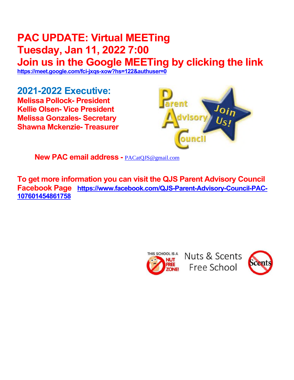## **PAC UPDATE: Virtual MEETing Tuesday, Jan 11, 2022 7:00 Join us in the Google MEETing by clicking the link**

**<https://meet.google.com/fci-jxqs-xow?hs=122&authuser=0>** 

**2021-2022 Executive: Melissa Pollock- President Kellie Olsen- Vice President Melissa Gonzales- Secretary Shawna Mckenzie- Treasurer** 



**New PAC email address -** [PACatQJS@gmail.com](mailto:PACatQJS@gmail.com) 

**To get more information you can visit the QJS Parent Advisory Council Facebook Page [https://www.facebook.com/QJS-Parent-Advisory-Council-PAC-](https://www.facebook.com/QJS-Parent-Advisory-Council-PAC-107601454861758)[107601454861758](https://www.facebook.com/QJS-Parent-Advisory-Council-PAC-107601454861758)** 



Nuts & Scents Free School